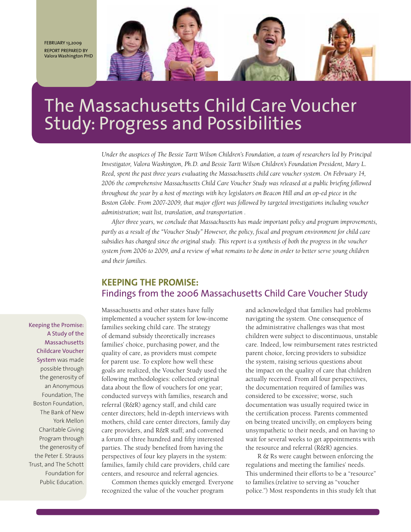February 13,2009 Report prepared by Valora Washington PhD



# The Massachusetts Child Care Voucher Study: Progress and Possibilities

*Under the auspices of The Bessie Tartt Wilson Children's Foundation, a team of researchers led by Principal Investigator, Valora Washington, Ph.D. and Bessie Tartt Wilson Children's Foundation President, Mary L. Reed, spent the past three years evaluating the Massachusetts child care voucher system. On February 14, 2006 the comprehensive Massachusetts Child Care Voucher Study was released at a public briefing followed throughout the year by a host of meetings with key legislators on Beacon Hill and an op-ed piece in the Boston Globe. From 2007-2009, that major effort was followed by targeted investigations including voucher administration; wait list, translation, and transportation .* 

*After three years, we conclude that Massachusetts has made important policy and program improvements, partly as a result of the "Voucher Study" However, the policy, fiscal and program environment for child care subsidies has changed since the original study. This report is a synthesis of both the progress in the voucher system from 2006 to 2009, and a review of what remains to be done in order to better serve young children and their families.* 

# **KEEPING THE PROMISE:** Findings from the 2006 Massachusetts Child Care Voucher Study

Keeping the Promise: A Study of the Massachusetts Childcare Voucher System was made possible through the generosity of an Anonymous Foundation, The Boston Foundation, The Bank of New York Mellon Charitable Giving Program through the generosity of the Peter E. Strauss Trust, and The Schott Foundation for Public Education.

Massachusetts and other states have fully implemented a voucher system for low-income families seeking child care. The strategy of demand subsidy theoretically increases families' choice, purchasing power, and the quality of care, as providers must compete for parent use. To explore how well these goals are realized, the Voucher Study used the following methodologies: collected original data about the flow of vouchers for one year; conducted surveys with families, research and referral (R&R) agency staff, and child care center directors; held in-depth interviews with mothers, child care center directors, family day care providers, and R&R staff; and convened a forum of three hundred and fifty interested parties. The study benefited from having the perspectives of four key players in the system: families, family child care providers, child care centers, and resource and referral agencies.

Common themes quickly emerged. Everyone recognized the value of the voucher program

and acknowledged that families had problems navigating the system. One consequence of the administrative challenges was that most children were subject to discontinuous, unstable care. Indeed, low reimbursement rates restricted parent choice, forcing providers to subsidize the system, raising serious questions about the impact on the quality of care that children actually received. From all four perspectives, the documentation required of families was considered to be excessive; worse, such documentation was usually required twice in the certification process. Parents commented on being treated uncivilly, on employers being unsympathetic to their needs, and on having to wait for several weeks to get appointments with the resource and referral (R&R) agencies.

 R & Rs were caught between enforcing the regulations and meeting the families' needs. This undermined their efforts to be a "resource" to families.(relative to serving as "voucher police.") Most respondents in this study felt that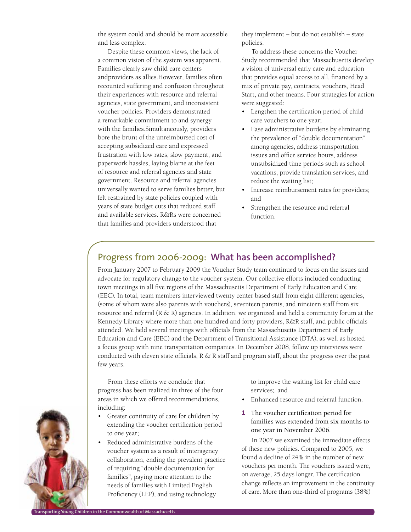the system could and should be more accessible and less complex.

Despite these common views, the lack of a common vision of the system was apparent. Families clearly saw child care centers andproviders as allies.However, families often recounted suffering and confusion throughout their experiences with resource and referral agencies, state government, and inconsistent voucher policies. Providers demonstrated a remarkable commitment to and synergy with the families.Simultaneously, providers bore the brunt of the unreimbursed cost of accepting subsidized care and expressed frustration with low rates, slow payment, and paperwork hassles, laying blame at the feet of resource and referral agencies and state government. Resource and referral agencies universally wanted to serve families better, but felt restrained by state policies coupled with years of state budget cuts that reduced staff and available services. R&Rs were concerned that families and providers understood that

they implement – but do not establish – state policies.

To address these concerns the Voucher Study recommended that Massachusetts develop a vision of universal early care and education that provides equal access to all, financed by a mix of private pay, contracts, vouchers, Head Start, and other means. Four strategies for action were suggested:

- Lengthen the certification period of child care vouchers to one year;
- Ease administrative burdens by eliminating the prevalence of "double documentation" among agencies, address transportation issues and office service hours, address unsubsidized time periods such as school vacations, provide translation services, and reduce the waiting list;
- Increase reimbursement rates for providers; and
- • Strengthen the resource and referral function.

# Progress from 2006-2009: **What has been accomplished?**

From January 2007 to February 2009 the Voucher Study team continued to focus on the issues and advocate for regulatory change to the voucher system. Our collective efforts included conducting town meetings in all five regions of the Massachusetts Department of Early Education and Care (EEC). In total, team members interviewed twenty center based staff from eight different agencies, (some of whom were also parents with vouchers), seventeen parents, and nineteen staff from six resource and referral  $(R \& R)$  agencies. In addition, we organized and held a community forum at the Kennedy Library where more than one hundred and forty providers, R&R staff, and public officials attended. We held several meetings with officials from the Massachusetts Department of Early Education and Care (EEC) and the Department of Transitional Assistance (DTA), as well as hosted a focus group with nine transportation companies. In December 2008, follow up interviews were conducted with eleven state officials,  $R \& R$  staff and program staff, about the progress over the past few years.

From these efforts we conclude that progress has been realized in three of the four areas in which we offered recommendations, including:

- • Greater continuity of care for children by extending the voucher certification period to one year;
- Reduced administrative burdens of the voucher system as a result of interagency collaboration, ending the prevalent practice of requiring "double documentation for families", paying more attention to the needs of families with Limited English Proficiency (LEP), and using technology

to improve the waiting list for child care services;. and

- Enhanced resource and referral function.
- **1** The voucher certification period for families was extended from six months to one year in November 2006.

In 2007 we examined the immediate effects of these new policies. Compared to 2005, we found a decline of 24% in the number of new vouchers per month. The vouchers issued were, on average, 25 days longer. The certification change reflects an improvement in the continuity of care. More than one-third of programs (38%)

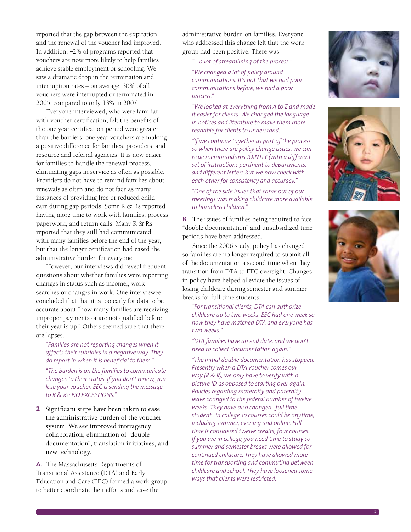reported that the gap between the expiration and the renewal of the voucher had improved. In addition, 42% of programs reported that vouchers are now more likely to help families achieve stable employment or schooling. We saw a dramatic drop in the termination and interruption rates – on average, 30% of all vouchers were interrupted or terminated in 2005, compared to only 13% in 2007.

Everyone interviewed, who were familiar with voucher certification, felt the benefits of the one year certification period were greater than the barriers; one year vouchers are making a positive difference for families, providers, and resource and referral agencies. It is now easier for families to handle the renewal process, eliminating gaps in service as often as possible. Providers do not have to remind families about renewals as often and do not face as many instances of providing free or reduced child care during gap periods. Some R & Rs reported having more time to work with families, process paperwork, and return calls. Many R & Rs reported that they still had communicated with many families before the end of the year, but that the longer certification had eased the administrative burden for everyone.

However, our interviews did reveal frequent questions about whether families were reporting changes in status such as income,, work searches or changes in work. One interviewee concluded that that it is too early for data to be accurate about "how many families are receiving improper payments or are not qualified before their year is up." Others seemed sure that there are lapses.

*"Families are not reporting changes when it affects their subsidies in a negative way. They do report in when it is beneficial to them."* 

*"The burden is on the families to communicate changes to their status. If you don't renew, you lose your voucher. EEC is sending the message to R & Rs: NO EXCEPTIONS."*

**2** Significant steps have been taken to ease the administrative burden of the voucher system. We see improved interagency collaboration, elimination of "double documentation", translation initiatives, and new technology.

**A.** The Massachusetts Departments of Transitional Assistance (DTA) and Early Education and Care (EEC) formed a work group to better coordinate their efforts and ease the

administrative burden on families. Everyone who addressed this change felt that the work group had been positive. There was

*"… a lot of streamlining of the process."*

*"We changed a lot of policy around communications. It's not that we had poor communications before, we had a poor process."* 

*"We looked at everything from A to Z and made it easier for clients. We changed the language in notices and literature to make them more readable for clients to understand."* 

*"If we continue together as part of the process so when there are policy change issues, we can issue memorandums JOINTLY (with a different set of instructions pertinent to departments) and different letters but we now check with each other for consistency and accuracy."*

*"One of the side issues that came out of our meetings was making childcare more available to homeless children."*

**B.** The issues of families being required to face "double documentation" and unsubsidized time periods have been addressed.

Since the 2006 study, policy has changed so families are no longer required to submit all of the documentation a second time when they transition from DTA to EEC oversight. Changes in policy have helped alleviate the issues of losing childcare during semester and summer breaks for full time students.

*"For transitional clients, DTA can authorize childcare up to two weeks. EEC had one week so now they have matched DTA and everyone has two weeks."* 

*"DTA families have an end date, and we don't need to collect documentation again."*

*"The initial double documentation has stopped. Presently when a DTA voucher comes our way (R & R), we only have to verify with a picture ID as opposed to starting over again. Policies regarding maternity and paternity leave changed to the federal number of twelve weeks. They have also changed "full time student" in college so courses could be anytime, including summer, evening and online. Full time is considered twelve credits, four courses. If you are in college, you need time to study so summer and semester breaks were allowed for continued childcare. They have allowed more time for transporting and commuting between childcare and school. They have loosened some ways that clients were restricted."* 





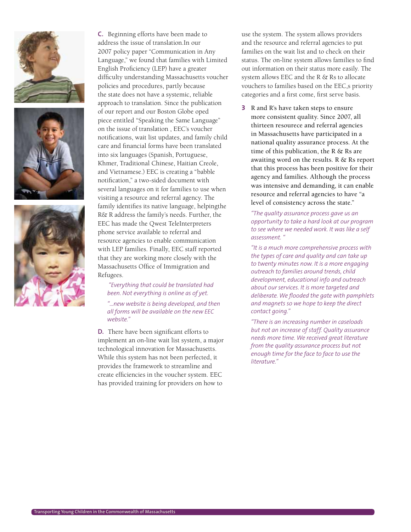





**C.** Beginning efforts have been made to address the issue of translation.In our 2007 policy paper "Communication in Any Language," we found that families with Limited English Proficiency (LEP) have a greater difficulty understanding Massachusetts voucher policies and procedures, partly because the state does not have a systemic, reliable approach to translation. Since the publication of our report and our Boston Globe oped piece entitled "Speaking the Same Language" on the issue of translation , EEC's voucher notifications, wait list updates, and family child care and financial forms have been translated into six languages (Spanish, Portuguese, Khmer, Traditional Chinese, Haitian Creole, and Vietnamese.) EEC is creating a "babble notification," a two-sided document with several languages on it for families to use when visiting a resource and referral agency. The family identifies its native language, helpingthe R& R address the family's needs. Further, the EEC has made the Qwest TeleInterpreters phone service available to referral and resource agencies to enable communication with LEP families. Finally, EEC staff reported that they are working more closely with the Massachusetts Office of Immigration and Refugees.

 *"Everything that could be translated had been. Not everything is online as of yet.* 

*"…new website is being developed, and then all forms will be available on the new EEC website."* 

**D.** There have been significant efforts to implement an on-line wait list system, a major technological innovation for Massachusetts. While this system has not been perfected, it provides the framework to streamline and create efficiencies in the voucher system. EEC has provided training for providers on how to

use the system. The system allows providers and the resource and referral agencies to put families on the wait list and to check on their status. The on-line system allows families to find out information on their status more easily. The system allows EEC and the R & Rs to allocate vouchers to families based on the EEC,s priority categories and a first come, first serve basis.

**3** R and R's have taken steps to ensure more consistent quality. Since 2007, all thirteen resourece and referral agencies in Massachusetts have participated in a national quality assurance process. At the time of this publication, the R  $\&$  Rs are awaiting word on the results. R & Rs report that this process has been positive for their agency and families. Although the process was intensive and demanding, it can enable resource and referral agencies to have "a level of consistency across the state."

*"The quality assurance process gave us an opportunity to take a hard look at our program to see where we needed work. It was like a self assessment. "*

*"It is a much more comprehensive process with the types of care and quality and can take up to twenty minutes now. It is a more engaging outreach to families around trends, child development, educational info and outreach about our services. It is more targeted and deliberate. We flooded the gate with pamphlets and magnets so we hope to keep the direct contact going."* 

*"There is an increasing number in caseloads but not an increase of staff. Quality assurance needs more time. We received great literature from the quality assurance process but not enough time for the face to face to use the literature."*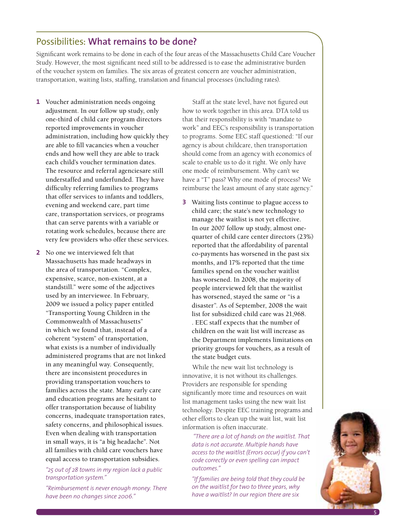# Possibilities: **What remains to be done?**

Significant work remains to be done in each of the four areas of the Massachusetts Child Care Voucher Study. However, the most significant need still to be addressed is to ease the administrative burden of the voucher system on families. The six areas of greatest concern are voucher administration, transportation, waiting lists, staffing, translation and financial processes (including rates).

- **1** Voucher administration needs ongoing adjustment. In our follow up study, only one-third of child care program directors reported improvements in voucher administration, including how quickly they are able to fill vacancies when a voucher ends and how well they are able to track each child's voucher termination dates. The resource and referral agenciesare still understaffed and underfunded. They have difficulty referring families to programs that offer services to infants and toddlers, evening and weekend care, part time care, transportation services, or programs that can serve parents with a variable or rotating work schedules, because there are very few providers who offer these services.
- **2** No one we interviewed felt that Massachusetts has made headways in the area of transportation. "Complex, expensive, scarce, non-existent, at a standstill." were some of the adjectives used by an interviewee. In February, 2009 we issued a policy paper entitled "Transporting Young Children in the Commonwealth of Massachusetts" in which we found that, instead of a coherent "system" of transportation, what exists is a number of individually administered programs that are not linked in any meaningful way. Consequently, there are inconsistent procedures in providing transportation vouchers to families across the state. Many early care and education programs are hesitant to offer transportation because of liability concerns, inadequate transportation rates, safety concerns, and philosophical issues. Even when dealing with transportation in small ways, it is "a big headache". Not all families with child care vouchers have equal access to transportation subsidies.

## *"25 out of 28 towns in my region lack a public transportation system."*

*"Reimbursement is never enough money. There have been no changes since 2006."* 

Staff at the state level, have not figured out how to work together in this area. DTA told us that their responsibility is with "mandate to work" and EEC's responsibility is transportation to programs. Some EEC staff questioned: "If our agency is about childcare, then transportation should come from an agency with economics of scale to enable us to do it right. We only have one mode of reimbursement. Why can't we have a "T" pass? Why one mode of process? We reimburse the least amount of any state agency."

**3** Waiting lists continue to plague access to child care; the state's new technology to manage the waitlist is not yet effective. In our 2007 follow up study, almost onequarter of child care center directors (23%) reported that the affordability of parental co-payments has worsened in the past six months, and 17% reported that the time families spend on the voucher waitlist has worsened. In 2008, the majority of people interviewed felt that the waitlist has worsened, stayed the same or "is a disaster". As of September, 2008 the wait list for subsidized child care was 21,968. . EEC staff expects that the number of children on the wait list will increase as the Department implements limitations on priority groups for vouchers, as a result of the state budget cuts.

While the new wait list technology is innovative, it is not without its challenges. Providers are responsible for spending significantly more time and resources on wait list management tasks using the new wait list technology. Despite EEC training programs and other efforts to clean up the wait list, wait list information is often inaccurate.

 *"There are a lot of hands on the waitlist. That data is not accurate. Multiple hands have access to the waitlist (Errors occur) if you can't code correctly or even spelling can impact outcomes."*

*"If families are being told that they could be on the waitlist for two to three years, why have a waitlist? In our region there are six* 

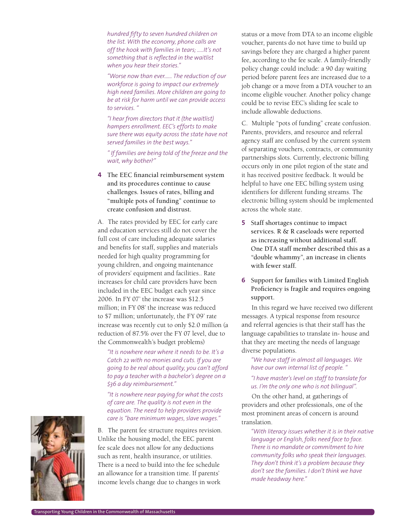*hundred fifty to seven hundred children on the list. With the economy, phone calls are off the hook with families in tears; …..It's not something that is reflected in the waitlist when you hear their stories."* 

*"Worse now than ever.….. The reduction of our workforce is going to impact our extremely high need families. More children are going to be at risk for harm until we can provide access to services. "*

*"I hear from directors that it (the waitlist) hampers enrollment. EEC's efforts to make sure there was equity across the state have not served families in the best ways."* 

*" If families are being told of the freeze and the wait, why bother?"*

**4** The EEC financial reimbursement system and its procedures continue to cause challenges. Issues of rates, billing and "multiple pots of funding" continue to create confusion and distrust.

A. The rates provided by EEC for early care and education services still do not cover the full cost of care including adequate salaries and benefits for staff, supplies and materials needed for high quality programming for young children, and ongoing maintenance of providers' equipment and facilities.. Rate increases for child care providers have been included in the EEC budget each year since 2006. In FY 07' the increase was \$12.5 million; in FY 08' the increase was reduced to \$7 million; unfortunately, the FY 09' rate increase was recently cut to only \$2.0 million (a reduction of 87.5% over the FY 07 level, due to the Commonwealth's budget problems)

*"It is nowhere near where it needs to be. It's a Catch 22 with no monies and cuts. If you are going to be real about quality, you can't afford to pay a teacher with a bachelor's degree on a \$36 a day reimbursement."* 

*"It is nowhere near paying for what the costs of care are. The quality is not even in the equation. The need to help providers provide care is "bare minimum wages, slave wages."* 

B. The parent fee structure requires revision. Unlike the housing model, the EEC parent fee scale does not allow for any deductions such as rent, health insurance, or utilities. There is a need to build into the fee schedule an allowance for a transition time. If parents' income levels change due to changes in work

status or a move from DTA to an income eligible voucher, parents do not have time to build up savings before they are charged a higher parent fee, according to the fee scale. A family-friendly policy change could include: a 90 day waiting period before parent fees are increased due to a job change or a move from a DTA voucher to an income eligible voucher. Another policy change could be to revise EEC's sliding fee scale to include allowable deductions.

C. Multiple "pots of funding" create confusion. Parents, providers, and resource and referral agency staff are confused by the current system of separating vouchers, contracts, or community partnerships slots. Currently, electronic billing occurs only in one pilot region of the state and it has received positive feedback. It would be helpful to have one EEC billing system using identifiers for different funding streams. The electronic billing system should be implemented across the whole state.

- **5** Staff shortages continue to impact services. R & R caseloads were reported as increasing without additional staff. One DTA staff member described this as a "double whammy", an increase in clients with fewer staff.
- **6** Support for families with Limited English Proficiency is fragile and requires ongoing support.

In this regard we have received two different messages. A typical response from resource and referral agencies is that their staff has the language capabilities to translate in- house and that they are meeting the needs of language diverse populations.

*"We have staff in almost all languages. We have our own internal list of people. "*

*"I have master's level on staff to translate for us. I'm the only one who is not bilingual".* 

On the other hand, at gatherings of providers and other professionals, one of the most prominent areas of concern is around translation.

*"With literacy issues whether it is in their native language or English, folks need face to face. There is no mandate or commitment to hire community folks who speak their languages. They don't think it's a problem because they don't see the families. I don't think we have made headway here."* 

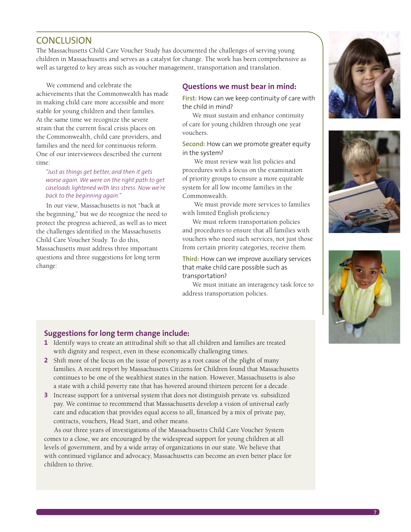# **CONCLUSION**

The Massachusetts Child Care Voucher Study has documented the challenges of serving young children in Massachusetts and serves as a catalyst for change. The work has been comprehensive as well as targeted to key areas such as voucher management, transportation and translation.

We commend and celebrate the achievements that the Commonwealth has made in making child care more accessible and more stable for young children and their families. At the same time we recognize the severe strain that the current fiscal crisis places on the Commonwealth, child care providers, and families and the need for continuous reform. One of our interviewees described the current time:

*"Just as things get better, and then it gets worse again. We were on the right path to get caseloads lightened with less stress. Now we're back to the beginning again."* 

In our view, Massachusetts is not "back at the beginning," but we do recognize the need to protect the progress achieved, as well as to meet the challenges identified in the Massachusetts Child Care Voucher Study. To do this, Massachusetts must address three important questions and three suggestions for long term change:

# **Questions we must bear in mind:**

**First:** How can we keep continuity of care with the child in mind?

We must sustain and enhance continuity of care for young children through one year vouchers.

**Second:** How can we promote greater equity in the system?

 We must review wait list policies and procedures with a focus on the examination of priority groups to ensure a more equitable system for all low income families in the Commonwealth.

 We must provide more services to families with limited English proficiency

We must reform transportation policies and procedures to ensure that all families with vouchers who need such services, not just those from certain priority categories, receive them.

**Third:** How can we improve auxiliary services that make child care possible such as transportation?

We must initiate an interagency task force to address transportation policies.







## **Suggestions for long term change include:**

- **1** Identify ways to create an attitudinal shift so that all children and families are treated with dignity and respect, even in these economically challenging times.
- **2** Shift more of the focus on the issue of poverty as a root cause of the plight of many families. A recent report by Massachusetts Citizens for Children found that Massachusetts continues to be one of the wealthiest states in the nation. However, Massachusetts is also a state with a child poverty rate that has hovered around thirteen percent for a decade.
- **3** Increase support for a universal system that does not distinguish private vs. subsidized pay. We continue to recommend that Massachusetts develop a vision of universal early care and education that provides equal access to all, financed by a mix of private pay, contracts, vouchers, Head Start, and other means.

As our three years of investigations of the Massachusetts Child Care Voucher System comes to a close, we are encouraged by the widespread support for young children at all levels of government, and by a wide array of organizations in our state. We believe that with continued vigilance and advocacy, Massachusetts can become an even better place for children to thrive.